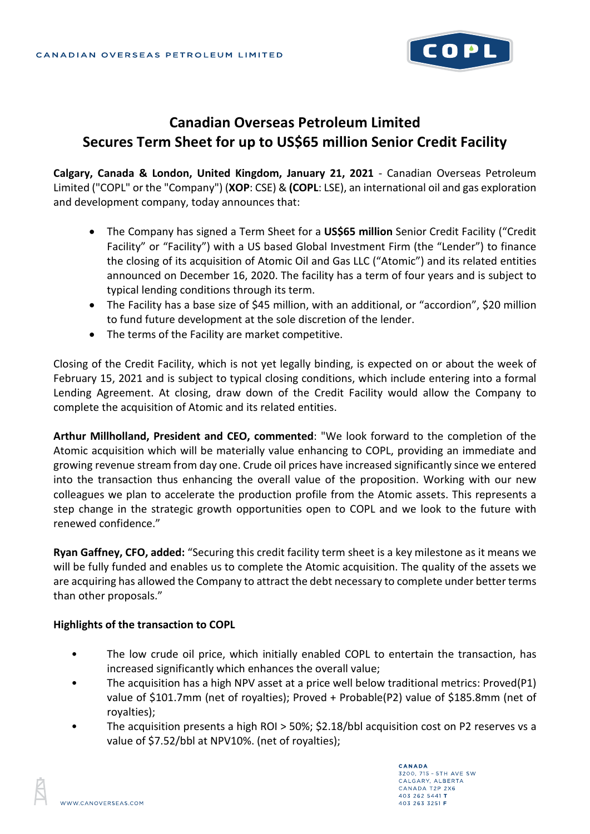

# **Canadian Overseas Petroleum Limited Secures Term Sheet for up to US\$65 million Senior Credit Facility**

**Calgary, Canada & London, United Kingdom, January 21, 2021** - Canadian Overseas Petroleum Limited ("COPL" or the "Company") (**XOP**: CSE) & **(COPL**: LSE), an international oil and gas exploration and development company, today announces that:

- The Company has signed a Term Sheet for a **US\$65 million** Senior Credit Facility ("Credit Facility" or "Facility") with a US based Global Investment Firm (the "Lender") to finance the closing of its acquisition of Atomic Oil and Gas LLC ("Atomic") and its related entities announced on December 16, 2020. The facility has a term of four years and is subject to typical lending conditions through its term.
- The Facility has a base size of \$45 million, with an additional, or "accordion", \$20 million to fund future development at the sole discretion of the lender.
- The terms of the Facility are market competitive.

Closing of the Credit Facility, which is not yet legally binding, is expected on or about the week of February 15, 2021 and is subject to typical closing conditions, which include entering into a formal Lending Agreement. At closing, draw down of the Credit Facility would allow the Company to complete the acquisition of Atomic and its related entities.

**Arthur Millholland, President and CEO, commented**: "We look forward to the completion of the Atomic acquisition which will be materially value enhancing to COPL, providing an immediate and growing revenue stream from day one. Crude oil prices have increased significantly since we entered into the transaction thus enhancing the overall value of the proposition. Working with our new colleagues we plan to accelerate the production profile from the Atomic assets. This represents a step change in the strategic growth opportunities open to COPL and we look to the future with renewed confidence."

**Ryan Gaffney, CFO, added:** "Securing this credit facility term sheet is a key milestone as it means we will be fully funded and enables us to complete the Atomic acquisition. The quality of the assets we are acquiring has allowed the Company to attract the debt necessary to complete under better terms than other proposals."

#### **Highlights of the transaction to COPL**

- The low crude oil price, which initially enabled COPL to entertain the transaction, has increased significantly which enhances the overall value;
- The acquisition has a high NPV asset at a price well below traditional metrics: Proved(P1) value of \$101.7mm (net of royalties); Proved + Probable(P2) value of \$185.8mm (net of royalties);
- The acquisition presents a high ROI > 50%; \$2.18/bbl acquisition cost on P2 reserves vs a value of \$7.52/bbl at NPV10%. (net of royalties);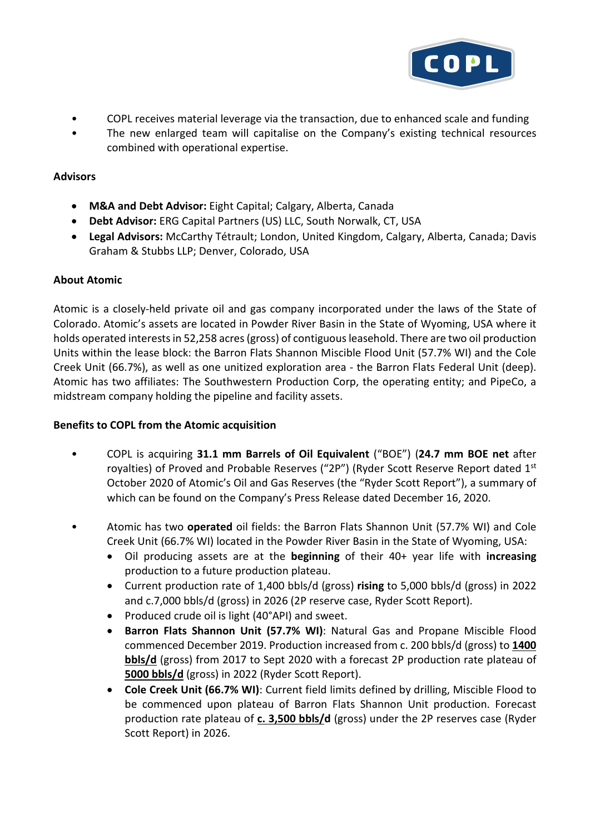

- COPL receives material leverage via the transaction, due to enhanced scale and funding
- The new enlarged team will capitalise on the Company's existing technical resources combined with operational expertise.

### **Advisors**

- **M&A and Debt Advisor:** Eight Capital; Calgary, Alberta, Canada
- **Debt Advisor:** ERG Capital Partners (US) LLC, South Norwalk, CT, USA
- **Legal Advisors:** McCarthy Tétrault; London, United Kingdom, Calgary, Alberta, Canada; Davis Graham & Stubbs LLP; Denver, Colorado, USA

## **About Atomic**

Atomic is a closely-held private oil and gas company incorporated under the laws of the State of Colorado. Atomic's assets are located in Powder River Basin in the State of Wyoming, USA where it holds operated interests in 52,258 acres (gross) of contiguous leasehold. There are two oil production Units within the lease block: the Barron Flats Shannon Miscible Flood Unit (57.7% WI) and the Cole Creek Unit (66.7%), as well as one unitized exploration area - the Barron Flats Federal Unit (deep). Atomic has two affiliates: The Southwestern Production Corp, the operating entity; and PipeCo, a midstream company holding the pipeline and facility assets.

#### **Benefits to COPL from the Atomic acquisition**

- COPL is acquiring **31.1 mm Barrels of Oil Equivalent** ("BOE") (**24.7 mm BOE net** after royalties) of Proved and Probable Reserves ("2P") (Ryder Scott Reserve Report dated 1st October 2020 of Atomic's Oil and Gas Reserves (the "Ryder Scott Report"), a summary of which can be found on the Company's Press Release dated December 16, 2020.
- Atomic has two **operated** oil fields: the Barron Flats Shannon Unit (57.7% WI) and Cole Creek Unit (66.7% WI) located in the Powder River Basin in the State of Wyoming, USA:
	- Oil producing assets are at the **beginning** of their 40+ year life with **increasing** production to a future production plateau.
	- Current production rate of 1,400 bbls/d (gross) **rising** to 5,000 bbls/d (gross) in 2022 and c.7,000 bbls/d (gross) in 2026 (2P reserve case, Ryder Scott Report).
	- Produced crude oil is light (40°API) and sweet.
	- **Barron Flats Shannon Unit (57.7% WI)**: Natural Gas and Propane Miscible Flood commenced December 2019. Production increased from c. 200 bbls/d (gross) to **1400 bbls/d** (gross) from 2017 to Sept 2020 with a forecast 2P production rate plateau of **5000 bbls/d** (gross) in 2022 (Ryder Scott Report).
	- **Cole Creek Unit (66.7% WI)**: Current field limits defined by drilling, Miscible Flood to be commenced upon plateau of Barron Flats Shannon Unit production. Forecast production rate plateau of **c. 3,500 bbls/d** (gross) under the 2P reserves case (Ryder Scott Report) in 2026.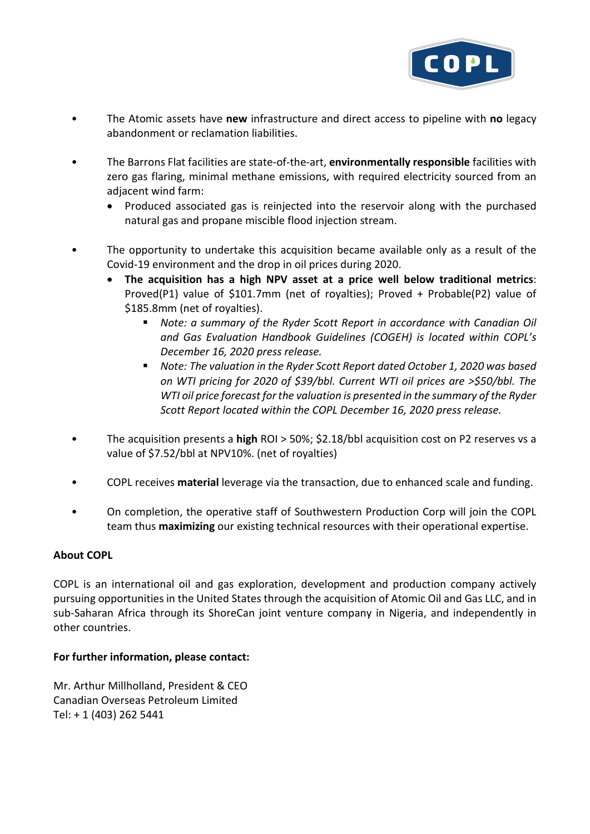

- The Atomic assets have **new** infrastructure and direct access to pipeline with **no** legacy abandonment or reclamation liabilities.
- The Barrons Flat facilities are state-of-the-art, **environmentally responsible** facilities with zero gas flaring, minimal methane emissions, with required electricity sourced from an adjacent wind farm:
	- Produced associated gas is reinjected into the reservoir along with the purchased natural gas and propane miscible flood injection stream.
- The opportunity to undertake this acquisition became available only as a result of the Covid-19 environment and the drop in oil prices during 2020.
	- **The acquisition has a high NPV asset at a price well below traditional metrics**: Proved(P1) value of \$101.7mm (net of royalties); Proved + Probable(P2) value of \$185.8mm (net of royalties).
		- *Note: a summary of the Ryder Scott Report in accordance with Canadian Oil and Gas Evaluation Handbook Guidelines (COGEH) is located within COPL's December 16, 2020 press release.*
		- *Note: The valuation in the Ryder Scott Report dated October 1, 2020 was based on WTI pricing for 2020 of \$39/bbl. Current WTI oil prices are >\$50/bbl. The WTI oil price forecast for the valuation is presented in the summary of the Ryder Scott Report located within the COPL December 16, 2020 press release.*
- The acquisition presents a **high** ROI > 50%; \$2.18/bbl acquisition cost on P2 reserves vs a value of \$7.52/bbl at NPV10%. (net of royalties)
- COPL receives **material** leverage via the transaction, due to enhanced scale and funding.
- On completion, the operative staff of Southwestern Production Corp will join the COPL team thus **maximizing** our existing technical resources with their operational expertise.

#### **About COPL**

COPL is an international oil and gas exploration, development and production company actively pursuing opportunities in the United States through the acquisition of Atomic Oil and Gas LLC, and in sub-Saharan Africa through its ShoreCan joint venture company in Nigeria, and independently in other countries.

#### **For further information, please contact:**

Mr. Arthur Millholland, President & CEO Canadian Overseas Petroleum Limited Tel: + 1 (403) 262 5441